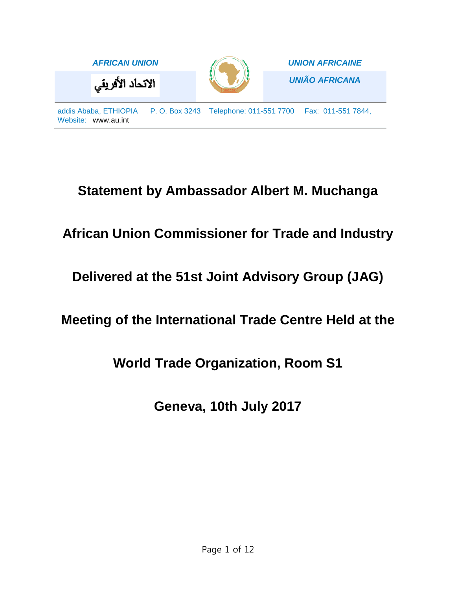

# **Statement by Ambassador Albert M. Muchanga**

# **African Union Commissioner for Trade and Industry**

**Delivered at the 51st Joint Advisory Group (JAG)**

## **Meeting of the International Trade Centre Held at the**

### **World Trade Organization, Room S1**

**Geneva, 10th July 2017**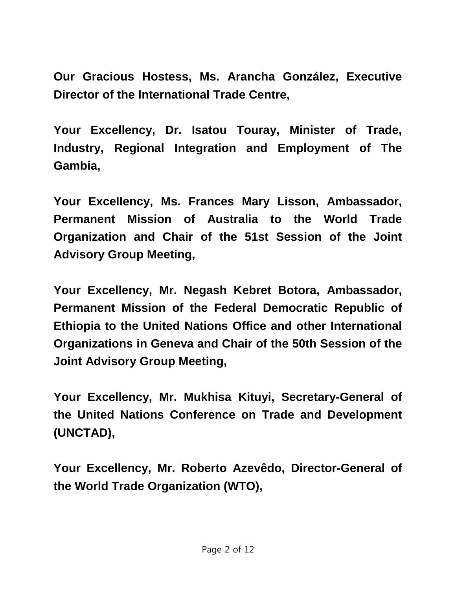**Our Gracious Hostess, Ms. Arancha González, Executive Director of the International Trade Centre,**

**Your Excellency, Dr. Isatou Touray, Minister of Trade, Industry, Regional Integration and Employment of The Gambia,**

**Your Excellency, Ms. Frances Mary Lisson, Ambassador, Permanent Mission of Australia to the World Trade Organization and Chair of the 51st Session of the Joint Advisory Group Meeting,**

**Your Excellency, Mr. Negash Kebret Botora, Ambassador, Permanent Mission of the Federal Democratic Republic of Ethiopia to the United Nations Office and other International Organizations in Geneva and Chair of the 50th Session of the Joint Advisory Group Meeting,**

**Your Excellency, Mr. Mukhisa Kituyi, Secretary-General of the United Nations Conference on Trade and Development (UNCTAD),**

**Your Excellency, Mr. Roberto Azevêdo, Director-General of the World Trade Organization (WTO),**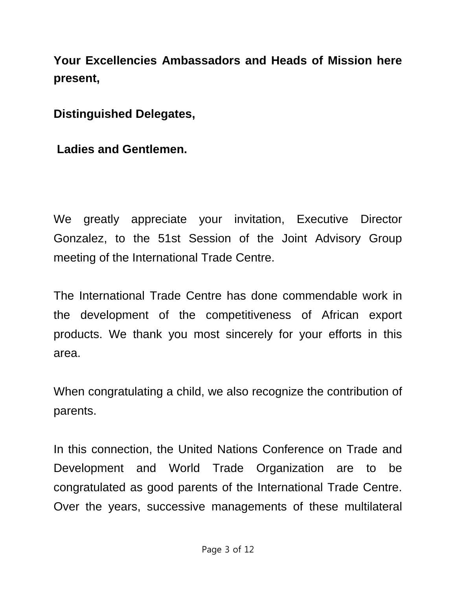**Your Excellencies Ambassadors and Heads of Mission here present,**

**Distinguished Delegates,**

**Ladies and Gentlemen.**

We greatly appreciate your invitation, Executive Director Gonzalez, to the 51st Session of the Joint Advisory Group meeting of the International Trade Centre.

The International Trade Centre has done commendable work in the development of the competitiveness of African export products. We thank you most sincerely for your efforts in this area.

When congratulating a child, we also recognize the contribution of parents.

In this connection, the United Nations Conference on Trade and Development and World Trade Organization are to be congratulated as good parents of the International Trade Centre. Over the years, successive managements of these multilateral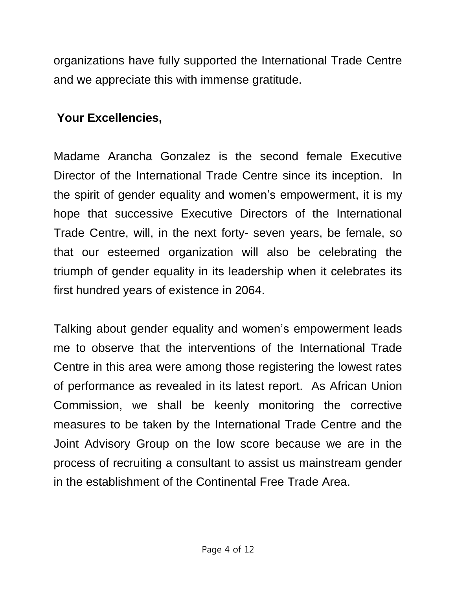organizations have fully supported the International Trade Centre and we appreciate this with immense gratitude.

### **Your Excellencies,**

Madame Arancha Gonzalez is the second female Executive Director of the International Trade Centre since its inception. In the spirit of gender equality and women's empowerment, it is my hope that successive Executive Directors of the International Trade Centre, will, in the next forty- seven years, be female, so that our esteemed organization will also be celebrating the triumph of gender equality in its leadership when it celebrates its first hundred years of existence in 2064.

Talking about gender equality and women's empowerment leads me to observe that the interventions of the International Trade Centre in this area were among those registering the lowest rates of performance as revealed in its latest report. As African Union Commission, we shall be keenly monitoring the corrective measures to be taken by the International Trade Centre and the Joint Advisory Group on the low score because we are in the process of recruiting a consultant to assist us mainstream gender in the establishment of the Continental Free Trade Area.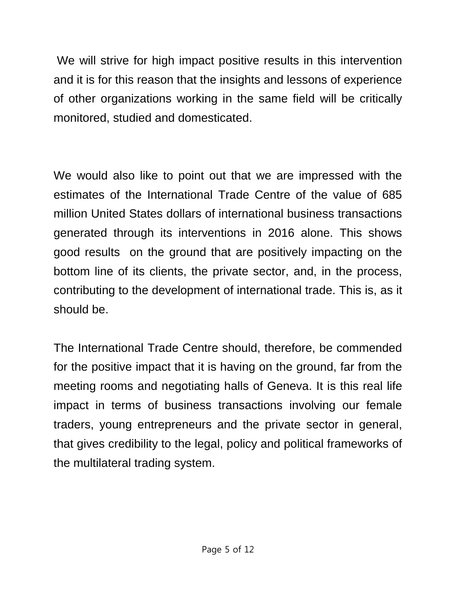We will strive for high impact positive results in this intervention and it is for this reason that the insights and lessons of experience of other organizations working in the same field will be critically monitored, studied and domesticated.

We would also like to point out that we are impressed with the estimates of the International Trade Centre of the value of 685 million United States dollars of international business transactions generated through its interventions in 2016 alone. This shows good results on the ground that are positively impacting on the bottom line of its clients, the private sector, and, in the process, contributing to the development of international trade. This is, as it should be.

The International Trade Centre should, therefore, be commended for the positive impact that it is having on the ground, far from the meeting rooms and negotiating halls of Geneva. It is this real life impact in terms of business transactions involving our female traders, young entrepreneurs and the private sector in general, that gives credibility to the legal, policy and political frameworks of the multilateral trading system.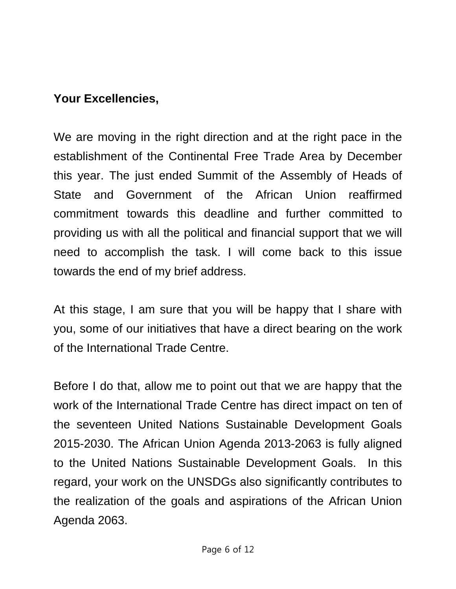### **Your Excellencies,**

We are moving in the right direction and at the right pace in the establishment of the Continental Free Trade Area by December this year. The just ended Summit of the Assembly of Heads of State and Government of the African Union reaffirmed commitment towards this deadline and further committed to providing us with all the political and financial support that we will need to accomplish the task. I will come back to this issue towards the end of my brief address.

At this stage, I am sure that you will be happy that I share with you, some of our initiatives that have a direct bearing on the work of the International Trade Centre.

Before I do that, allow me to point out that we are happy that the work of the International Trade Centre has direct impact on ten of the seventeen United Nations Sustainable Development Goals 2015-2030. The African Union Agenda 2013-2063 is fully aligned to the United Nations Sustainable Development Goals. In this regard, your work on the UNSDGs also significantly contributes to the realization of the goals and aspirations of the African Union Agenda 2063.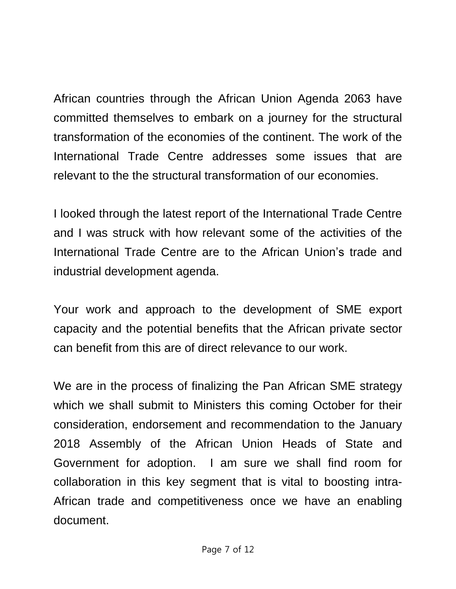African countries through the African Union Agenda 2063 have committed themselves to embark on a journey for the structural transformation of the economies of the continent. The work of the International Trade Centre addresses some issues that are relevant to the the structural transformation of our economies.

I looked through the latest report of the International Trade Centre and I was struck with how relevant some of the activities of the International Trade Centre are to the African Union's trade and industrial development agenda.

Your work and approach to the development of SME export capacity and the potential benefits that the African private sector can benefit from this are of direct relevance to our work.

We are in the process of finalizing the Pan African SME strategy which we shall submit to Ministers this coming October for their consideration, endorsement and recommendation to the January 2018 Assembly of the African Union Heads of State and Government for adoption. I am sure we shall find room for collaboration in this key segment that is vital to boosting intra-African trade and competitiveness once we have an enabling document.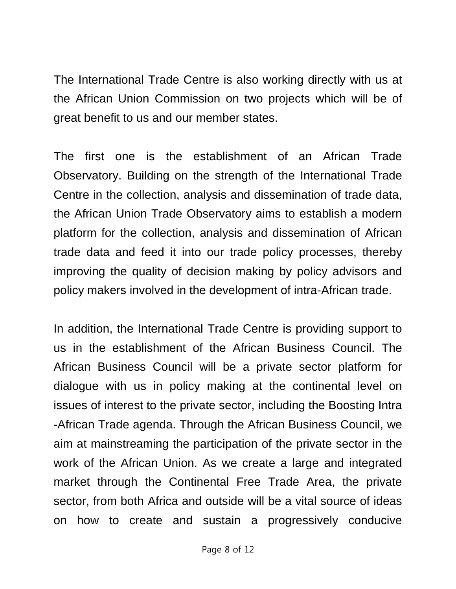The International Trade Centre is also working directly with us at the African Union Commission on two projects which will be of great benefit to us and our member states.

The first one is the establishment of an African Trade Observatory. Building on the strength of the International Trade Centre in the collection, analysis and dissemination of trade data, the African Union Trade Observatory aims to establish a modern platform for the collection, analysis and dissemination of African trade data and feed it into our trade policy processes, thereby improving the quality of decision making by policy advisors and policy makers involved in the development of intra-African trade.

In addition, the International Trade Centre is providing support to us in the establishment of the African Business Council. The African Business Council will be a private sector platform for dialogue with us in policy making at the continental level on issues of interest to the private sector, including the Boosting Intra -African Trade agenda. Through the African Business Council, we aim at mainstreaming the participation of the private sector in the work of the African Union. As we create a large and integrated market through the Continental Free Trade Area, the private sector, from both Africa and outside will be a vital source of ideas on how to create and sustain a progressively conducive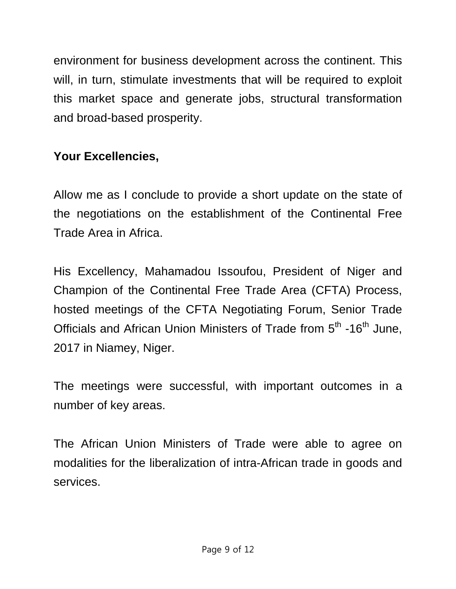environment for business development across the continent. This will, in turn, stimulate investments that will be required to exploit this market space and generate jobs, structural transformation and broad-based prosperity.

## **Your Excellencies,**

Allow me as I conclude to provide a short update on the state of the negotiations on the establishment of the Continental Free Trade Area in Africa.

His Excellency, Mahamadou Issoufou, President of Niger and Champion of the Continental Free Trade Area (CFTA) Process, hosted meetings of the CFTA Negotiating Forum, Senior Trade Officials and African Union Ministers of Trade from 5<sup>th</sup> -16<sup>th</sup> June, 2017 in Niamey, Niger.

The meetings were successful, with important outcomes in a number of key areas.

The African Union Ministers of Trade were able to agree on modalities for the liberalization of intra-African trade in goods and services.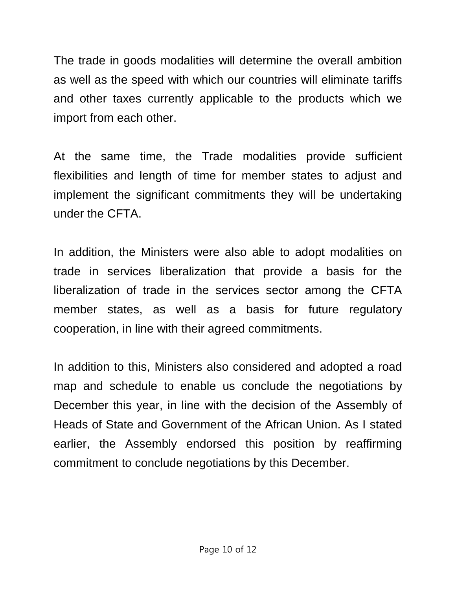The trade in goods modalities will determine the overall ambition as well as the speed with which our countries will eliminate tariffs and other taxes currently applicable to the products which we import from each other.

At the same time, the Trade modalities provide sufficient flexibilities and length of time for member states to adjust and implement the significant commitments they will be undertaking under the CFTA.

In addition, the Ministers were also able to adopt modalities on trade in services liberalization that provide a basis for the liberalization of trade in the services sector among the CFTA member states, as well as a basis for future regulatory cooperation, in line with their agreed commitments.

In addition to this, Ministers also considered and adopted a road map and schedule to enable us conclude the negotiations by December this year, in line with the decision of the Assembly of Heads of State and Government of the African Union. As I stated earlier, the Assembly endorsed this position by reaffirming commitment to conclude negotiations by this December.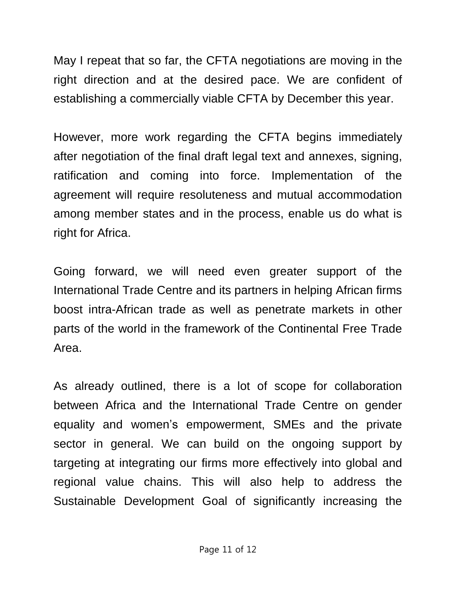May I repeat that so far, the CFTA negotiations are moving in the right direction and at the desired pace. We are confident of establishing a commercially viable CFTA by December this year.

However, more work regarding the CFTA begins immediately after negotiation of the final draft legal text and annexes, signing, ratification and coming into force. Implementation of the agreement will require resoluteness and mutual accommodation among member states and in the process, enable us do what is right for Africa.

Going forward, we will need even greater support of the International Trade Centre and its partners in helping African firms boost intra-African trade as well as penetrate markets in other parts of the world in the framework of the Continental Free Trade Area.

As already outlined, there is a lot of scope for collaboration between Africa and the International Trade Centre on gender equality and women's empowerment, SMEs and the private sector in general. We can build on the ongoing support by targeting at integrating our firms more effectively into global and regional value chains. This will also help to address the Sustainable Development Goal of significantly increasing the